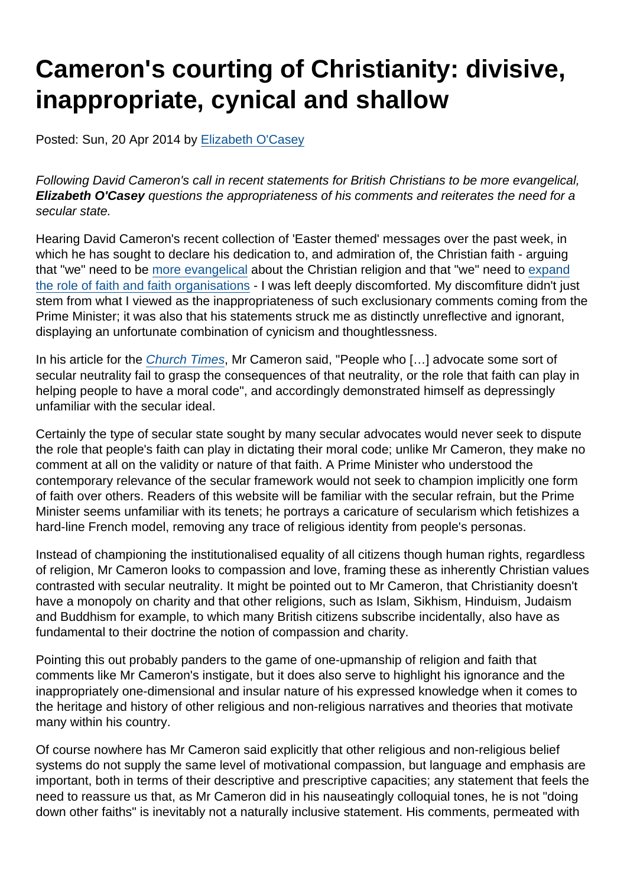# Cameron's courting of Christianity: divisive, inappropriate, cynical and shallow

Posted: Sun, 20 Apr 2014 by [Elizabeth O'Casey](https://www.secularism.org.uk/opinion/authors/865)

Following David Cameron's call in recent statements for British Christians to be more evangelical, Elizabeth O'Casey questions the appropriateness of his comments and reiterates the need for a secular state.

Hearing David Cameron's recent collection of 'Easter themed' messages over the past week, in which he has sought to declare his dedication to, and admiration of, the Christian faith - arguing that "we" need to be [more evangelical](http://www.churchtimes.co.uk/articles/2014/17-april/comment/opinion/my-faith-in-the-church-of-england) about the Christian religion and that "we" need to [expand](https://www.gov.uk/government/speeches/easter-reception-at-downing-street-2014) [the role of faith and faith organisations](https://www.gov.uk/government/speeches/easter-reception-at-downing-street-2014) - I was left deeply discomforted. My discomfiture didn't just stem from what I viewed as the inappropriateness of such exclusionary comments coming from the Prime Minister; it was also that his statements struck me as distinctly unreflective and ignorant, displaying an unfortunate combination of cynicism and thoughtlessness.

In his article for the [Church Times](http://www.churchtimes.co.uk/articles/2014/17-april/comment/opinion/my-faith-in-the-church-of-england), Mr Cameron said, "People who […] advocate some sort of secular neutrality fail to grasp the consequences of that neutrality, or the role that faith can play in helping people to have a moral code", and accordingly demonstrated himself as depressingly unfamiliar with the secular ideal.

Certainly the type of secular state sought by many secular advocates would never seek to dispute the role that people's faith can play in dictating their moral code; unlike Mr Cameron, they make no comment at all on the validity or nature of that faith. A Prime Minister who understood the contemporary relevance of the secular framework would not seek to champion implicitly one form of faith over others. Readers of this website will be familiar with the secular refrain, but the Prime Minister seems unfamiliar with its tenets; he portrays a caricature of secularism which fetishizes a hard-line French model, removing any trace of religious identity from people's personas.

Instead of championing the institutionalised equality of all citizens though human rights, regardless of religion, Mr Cameron looks to compassion and love, framing these as inherently Christian values contrasted with secular neutrality. It might be pointed out to Mr Cameron, that Christianity doesn't have a monopoly on charity and that other religions, such as Islam, Sikhism, Hinduism, Judaism and Buddhism for example, to which many British citizens subscribe incidentally, also have as fundamental to their doctrine the notion of compassion and charity.

Pointing this out probably panders to the game of one-upmanship of religion and faith that comments like Mr Cameron's instigate, but it does also serve to highlight his ignorance and the inappropriately one-dimensional and insular nature of his expressed knowledge when it comes to the heritage and history of other religious and non-religious narratives and theories that motivate many within his country.

Of course nowhere has Mr Cameron said explicitly that other religious and non-religious belief systems do not supply the same level of motivational compassion, but language and emphasis are important, both in terms of their descriptive and prescriptive capacities; any statement that feels the need to reassure us that, as Mr Cameron did in his nauseatingly colloquial tones, he is not "doing down other faiths" is inevitably not a naturally inclusive statement. His comments, permeated with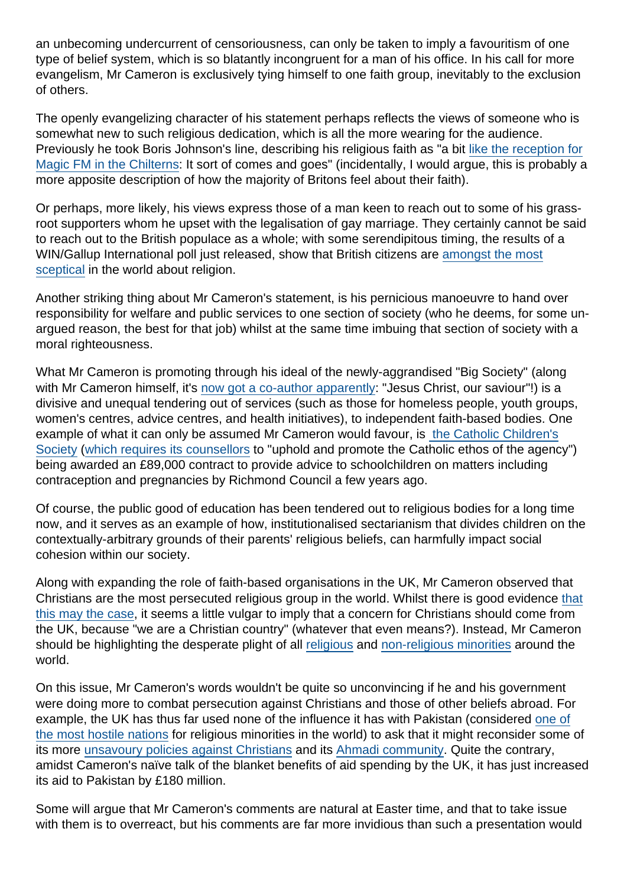an unbecoming undercurrent of censoriousness, can only be taken to imply a favouritism of one type of belief system, which is so blatantly incongruent for a man of his office. In his call for more evangelism, Mr Cameron is exclusively tying himself to one faith group, inevitably to the exclusion of others.

The openly evangelizing character of his statement perhaps reflects the views of someone who is somewhat new to such religious dedication, which is all the more wearing for the audience. Previously he took Boris Johnson's line, describing his religious faith as "a bit [like the reception for](http://www.theguardian.com/politics/2008/jul/16/davidcameron.conservatives) [Magic FM in the Chilterns](http://www.theguardian.com/politics/2008/jul/16/davidcameron.conservatives): It sort of comes and goes" (incidentally, I would argue, this is probably a more apposite description of how the majority of Britons feel about their faith).

Or perhaps, more likely, his views express those of a man keen to reach out to some of his grassroot supporters whom he upset with the legalisation of gay marriage. They certainly cannot be said to reach out to the British populace as a whole; with some serendipitous timing, the results of a WIN/Gallup International poll just released, show that British citizens are [amongst the most](http://www.telegraph.co.uk/news/religion/10771044/UK-among-most-sceptical-in-world-about-religion.html) [sceptical](http://www.telegraph.co.uk/news/religion/10771044/UK-among-most-sceptical-in-world-about-religion.html) in the world about religion.

Another striking thing about Mr Cameron's statement, is his pernicious manoeuvre to hand over responsibility for welfare and public services to one section of society (who he deems, for some unargued reason, the best for that job) whilst at the same time imbuing that section of society with a moral righteousness.

What Mr Cameron is promoting through his ideal of the newly-aggrandised "Big Society" (along with Mr Cameron himself, it's [now got a co-author apparently](http://www.channel4.com/news/big-society-david-cameron-church-faith-easter-reception): "Jesus Christ, our saviour"!) is a divisive and unequal tendering out of services (such as those for homeless people, youth groups, women's centres, advice centres, and health initiatives), to independent faith-based bodies. One example of what it can only be assumed Mr Cameron would favour, is [the Catholic Children's](https://www.secularism.org.uk/catholic-agency-commissioned-to.html) [Society](https://www.secularism.org.uk/catholic-agency-commissioned-to.html) ([which requires its counsellors](http://www.guardian.co.uk/world/2011/aug/28/christain-activists-grab-moral-agenda) to "uphold and promote the Catholic ethos of the agency") being awarded an £89,000 contract to provide advice to schoolchildren on matters including contraception and pregnancies by Richmond Council a few years ago.

Of course, the public good of education has been tendered out to religious bodies for a long time now, and it serves as an example of how, institutionalised sectarianism that divides children on the contextually-arbitrary grounds of their parents' religious beliefs, can harmfully impact social cohesion within our society.

Along with expanding the role of faith-based organisations in the UK, Mr Cameron observed that Christians are the most persecuted religious group in the world. Whilst there is good evidence [that](http://www.spectator.co.uk/features/9041841/the-war-on-christians/) [this may the case](http://www.spectator.co.uk/features/9041841/the-war-on-christians/), it seems a little vulgar to imply that a concern for Christians should come from the UK, because "we are a Christian country" (whatever that even means?). Instead, Mr Cameron should be highlighting the desperate plight of all [religious](https://www.secularism.org.uk/news/2014/01/53-billion-suffer-restrictions-on-religious-freedom-around-the-world) and [non-religious minorities](http://freethoughtreport.com/) around the world.

On this issue, Mr Cameron's words wouldn't be quite so unconvincing if he and his government were doing more to combat persecution against Christians and those of other beliefs abroad. For example, the UK has thus far used none of the influence it has with Pakistan (considered [one of](http://www.pewforum.org/files/2014/01/RestrictionsV-full-report.pdf) [the most hostile nations](http://www.pewforum.org/files/2014/01/RestrictionsV-full-report.pdf) for religious minorities in the world) to ask that it might reconsider some of its more [unsavoury policies against Christians](http://www.bbc.co.uk/news/world-asia-26781731) and its [Ahmadi community](http://news.bbc.co.uk/1/hi/8744092.stm). Quite the contrary, amidst Cameron's naïve talk of the blanket benefits of aid spending by the UK, it has just increased its aid to Pakistan by £180 million.

Some will argue that Mr Cameron's comments are natural at Easter time, and that to take issue with them is to overreact, but his comments are far more invidious than such a presentation would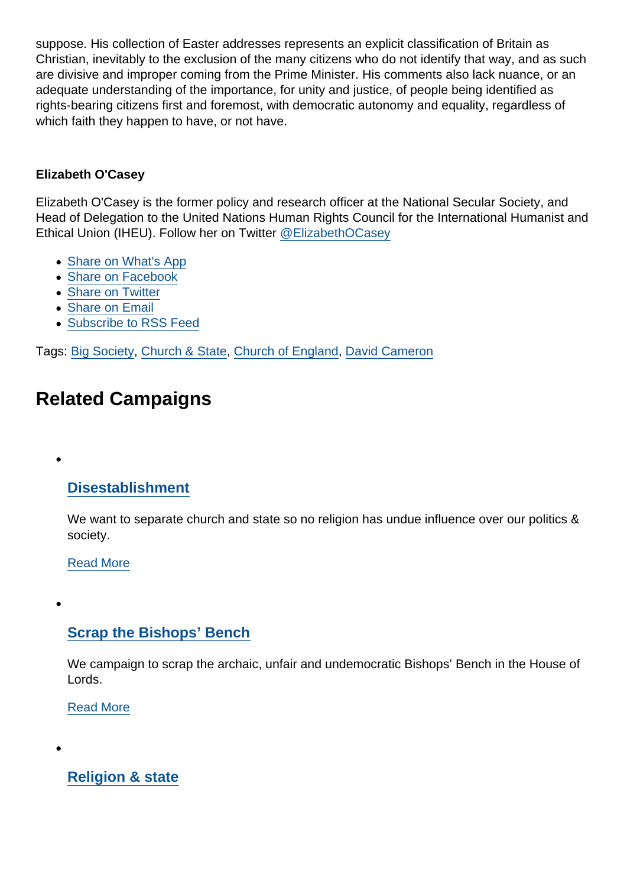suppose. His collection of Easter addresses represents an explicit classification of Britain as Christian, inevitably to the exclusion of the many citizens who do not identify that way, and as such are divisive and improper coming from the Prime Minister. His comments also lack nuance, or an adequate understanding of the importance, for unity and justice, of people being identified as rights-bearing citizens first and foremost, with democratic autonomy and equality, regardless of which faith they happen to have, or not have.

#### Elizabeth O'Casey

Elizabeth O'Casey is the former policy and research officer at the National Secular Society, and Head of Delegation to the United Nations Human Rights Council for the International Humanist and Ethical Union (IHEU). Follow her on Twitter [@ElizabethOCasey](https://twitter.com/elizabethocasey?lang=en)

- [Share on What's App](whatsapp://send?text=http://www.secularism.org.uk/opinion/2014/04/camerons-courting-of-christianity-inappropriate-cynical-and-shallow?format=pdf)
- [Share on Facebook](https://www.facebook.com/sharer/sharer.php?u=http://www.secularism.org.uk/opinion/2014/04/camerons-courting-of-christianity-inappropriate-cynical-and-shallow?format=pdf&t=Cameron)
- [Share on Twitter](https://twitter.com/intent/tweet?url=http://www.secularism.org.uk/opinion/2014/04/camerons-courting-of-christianity-inappropriate-cynical-and-shallow?format=pdf&text=Cameron)
- [Share on Email](https://www.secularism.org.uk/share.html?url=http://www.secularism.org.uk/opinion/2014/04/camerons-courting-of-christianity-inappropriate-cynical-and-shallow?format=pdf&title=Cameron)
- [Subscribe to RSS Feed](/mnt/web-data/www/cp-nss/feeds/rss/news)

Tags: [Big Society](https://www.secularism.org.uk/opinion/tags/Big+Society), [Church & State](https://www.secularism.org.uk/opinion/tags/Church+&+State), [Church of England](https://www.secularism.org.uk/opinion/tags/Church+of+England), [David Cameron](https://www.secularism.org.uk/opinion/tags/David+Cameron)

## Related Campaigns

### **[Disestablishment](https://www.secularism.org.uk/disestablishment/)**

We want to separate church and state so no religion has undue influence over our politics & society.

[Read More](https://www.secularism.org.uk/disestablishment/)

### [Scrap the Bishops' Bench](https://www.secularism.org.uk/scrap-bishops-bench/)

We campaign to scrap the archaic, unfair and undemocratic Bishops' Bench in the House of Lords.

[Read More](https://www.secularism.org.uk/scrap-bishops-bench/)

[Religion & state](https://www.secularism.org.uk/religion-and-state/)